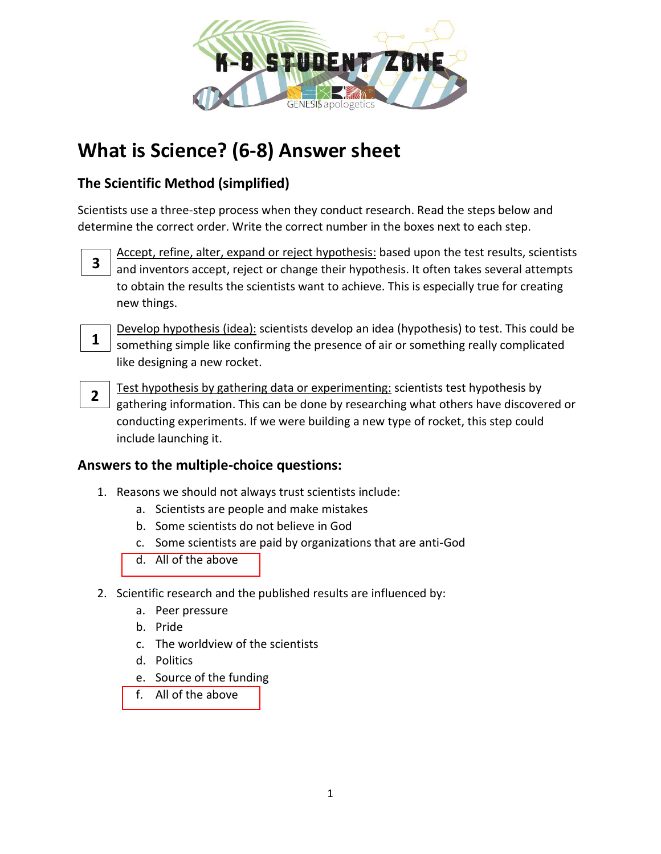

# **What is Science? (6-8) Answer sheet**

## **The Scientific Method (simplified)**

Scientists use a three-step process when they conduct research. Read the steps below and determine the correct order. Write the correct number in the boxes next to each step.



Accept, refine, alter, expand or reject hypothesis: based upon the test results, scientists and inventors accept, reject or change their hypothesis. It often takes several attempts to obtain the results the scientists want to achieve. This is especially true for creating new things.



Develop hypothesis (idea): scientists develop an idea (hypothesis) to test. This could be something simple like confirming the presence of air or something really complicated like designing a new rocket.



Test hypothesis by gathering data or experimenting: scientists test hypothesis by gathering information. This can be done by researching what others have discovered or conducting experiments. If we were building a new type of rocket, this step could include launching it.

## **Answers to the multiple-choice questions:**

- 1. Reasons we should not always trust scientists include:
	- a. Scientists are people and make mistakes
	- b. Some scientists do not believe in God
	- c. Some scientists are paid by organizations that are anti-God
	- d. All of the above
- 2. Scientific research and the published results are influenced by:
	- a. Peer pressure
	- b. Pride
	- c. The worldview of the scientists
	- d. Politics
	- e. Source of the funding
	- f. All of the above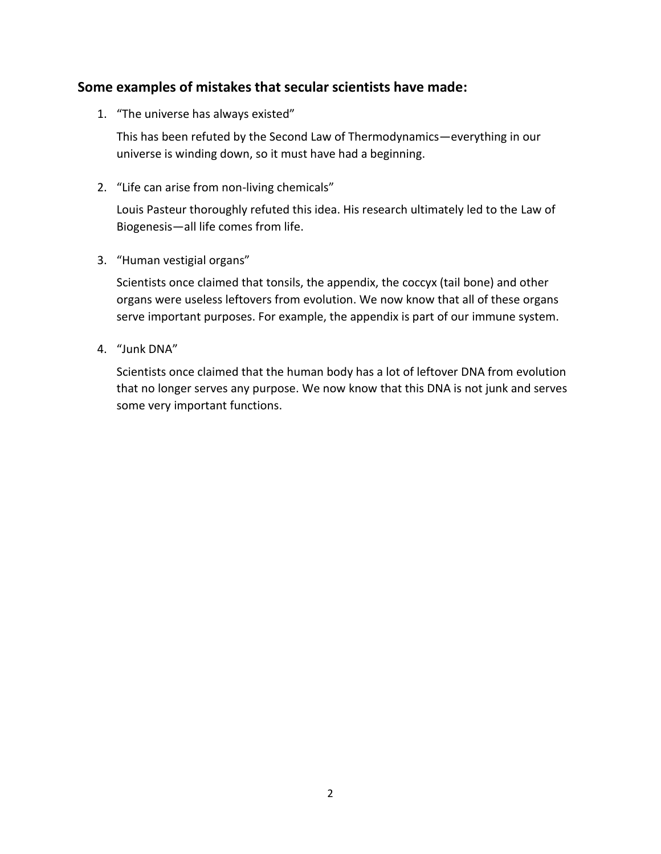#### **Some examples of mistakes that secular scientists have made:**

1. "The universe has always existed"

This has been refuted by the Second Law of Thermodynamics—everything in our universe is winding down, so it must have had a beginning.

2. "Life can arise from non-living chemicals"

Louis Pasteur thoroughly refuted this idea. His research ultimately led to the Law of Biogenesis—all life comes from life.

3. "Human vestigial organs"

Scientists once claimed that tonsils, the appendix, the coccyx (tail bone) and other organs were useless leftovers from evolution. We now know that all of these organs serve important purposes. For example, the appendix is part of our immune system.

4. "Junk DNA"

Scientists once claimed that the human body has a lot of leftover DNA from evolution that no longer serves any purpose. We now know that this DNA is not junk and serves some very important functions.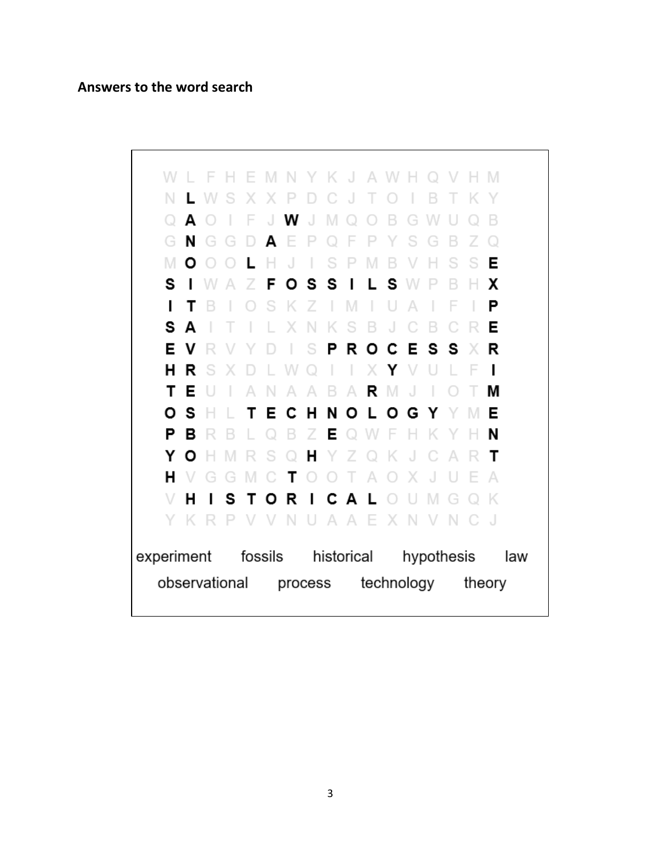#### **Answers to the word search**